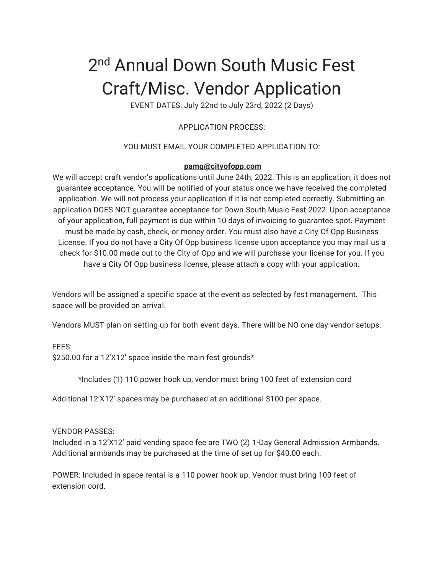# 2<sup>nd</sup> Annual Down South Music Fest Craft/Misc. Vendor Application

EVENT DATES: July 22nd to July 23rd, 2022 (2 Days)

# APPLICATION PROCESS:

### YOU MUST EMAIL YOUR COMPLETED APPLICATION TO:

#### **pamg@cityofopp.com**

We will accept craft vendor's applications until June 24th, 2022. This is an application; it does not guarantee acceptance. You will be notified of your status once we have received the completed application. We will not process your application if it is not completed correctly. Submitting an application DOES NOT guarantee acceptance for Down South Music Fest 2022. Upon acceptance of your application, full payment is due within 10 days of invoicing to guarantee spot. Payment must be made by cash, check, or money order. You must also have a City Of Opp Business License. If you do not have a City Of Opp business license upon acceptance you may mail us a check for \$10.00 made out to the City of Opp and we will purchase your license for you. If you have a City Of Opp business license, please attach a copy with your application.

Vendors will be assigned a specific space at the event as selected by fest management. This space will be provided on arrival.

Vendors MUST plan on setting up for both event days. There will be NO one day vendor setups.

## FEES:

\$250.00 for a 12'X12' space inside the main fest grounds\*

\*Includes (1) 110 power hook up, vendor must bring 100 feet of extension cord

Additional 12'X12' spaces may be purchased at an additional \$100 per space.

#### VENDOR PASSES:

Included in a 12'X12' paid vending space fee are TWO (2) 1-Day General Admission Armbands. Additional armbands may be purchased at the time of set up for \$40.00 each.

POWER: Included in space rental is a 110 power hook up. Vendor must bring 100 feet of extension cord.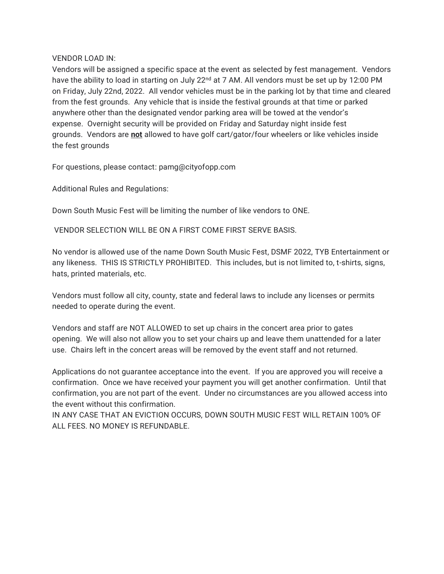#### VENDOR LOAD IN:

Vendors will be assigned a specific space at the event as selected by fest management. Vendors have the ability to load in starting on July 22<sup>nd</sup> at 7 AM. All vendors must be set up by 12:00 PM on Friday, July 22nd, 2022. All vendor vehicles must be in the parking lot by that time and cleared from the fest grounds. Any vehicle that is inside the festival grounds at that time or parked anywhere other than the designated vendor parking area will be towed at the vendor's expense. Overnight security will be provided on Friday and Saturday night inside fest grounds. Vendors are **not** allowed to have golf cart/gator/four wheelers or like vehicles inside the fest grounds

For questions, please contact: pamg@cityofopp.com

Additional Rules and Regulations:

Down South Music Fest will be limiting the number of like vendors to ONE.

VENDOR SELECTION WILL BE ON A FIRST COME FIRST SERVE BASIS.

No vendor is allowed use of the name Down South Music Fest, DSMF 2022, TYB Entertainment or any likeness. THIS IS STRICTLY PROHIBITED. This includes, but is not limited to, t-shirts, signs, hats, printed materials, etc.

Vendors must follow all city, county, state and federal laws to include any licenses or permits needed to operate during the event.

Vendors and staff are NOT ALLOWED to set up chairs in the concert area prior to gates opening. We will also not allow you to set your chairs up and leave them unattended for a later use. Chairs left in the concert areas will be removed by the event staff and not returned.

Applications do not guarantee acceptance into the event. If you are approved you will receive a confirmation. Once we have received your payment you will get another confirmation. Until that confirmation, you are not part of the event. Under no circumstances are you allowed access into the event without this confirmation.

IN ANY CASE THAT AN EVICTION OCCURS, DOWN SOUTH MUSIC FEST WILL RETAIN 100% OF ALL FEES. NO MONEY IS REFUNDABLE.